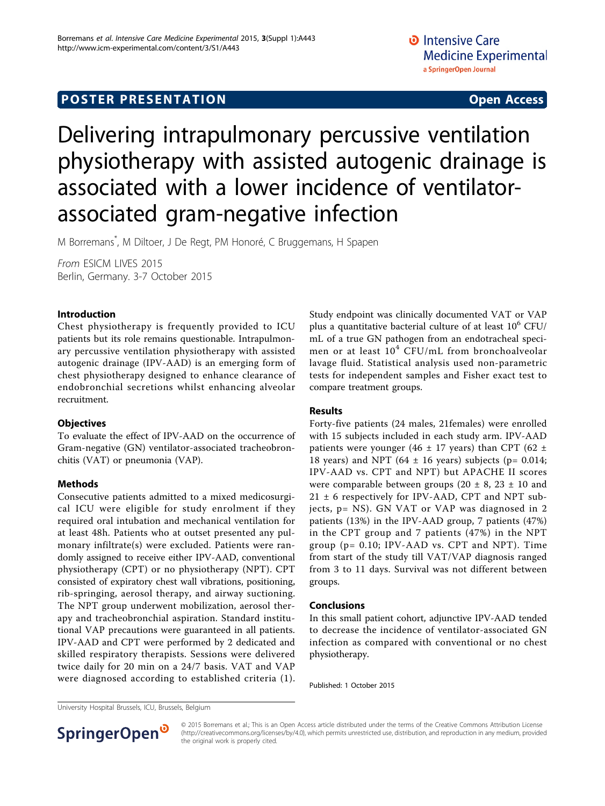## **POSTER PRESENTATION CONSUMING ACCESS**

# Delivering intrapulmonary percussive ventilation physiotherapy with assisted autogenic drainage is associated with a lower incidence of ventilatorassociated gram-negative infection

M Borremans\* , M Diltoer, J De Regt, PM Honoré, C Bruggemans, H Spapen

From ESICM LIVES 2015 Berlin, Germany. 3-7 October 2015

### Introduction

Chest physiotherapy is frequently provided to ICU patients but its role remains questionable. Intrapulmonary percussive ventilation physiotherapy with assisted autogenic drainage (IPV-AAD) is an emerging form of chest physiotherapy designed to enhance clearance of endobronchial secretions whilst enhancing alveolar recruitment.

### **Objectives**

To evaluate the effect of IPV-AAD on the occurrence of Gram-negative (GN) ventilator-associated tracheobronchitis (VAT) or pneumonia (VAP).

### Methods

Consecutive patients admitted to a mixed medicosurgical ICU were eligible for study enrolment if they required oral intubation and mechanical ventilation for at least 48h. Patients who at outset presented any pulmonary infiltrate(s) were excluded. Patients were randomly assigned to receive either IPV-AAD, conventional physiotherapy (CPT) or no physiotherapy (NPT). CPT consisted of expiratory chest wall vibrations, positioning, rib-springing, aerosol therapy, and airway suctioning. The NPT group underwent mobilization, aerosol therapy and tracheobronchial aspiration. Standard institutional VAP precautions were guaranteed in all patients. IPV-AAD and CPT were performed by 2 dedicated and skilled respiratory therapists. Sessions were delivered twice daily for 20 min on a 24/7 basis. VAT and VAP were diagnosed according to established criteria (1). Study endpoint was clinically documented VAT or VAP plus a quantitative bacterial culture of at least  $10^6$  CFU/ mL of a true GN pathogen from an endotracheal specimen or at least  $10^4$  CFU/mL from bronchoalveolar lavage fluid. Statistical analysis used non-parametric tests for independent samples and Fisher exact test to compare treatment groups.

### Results

Forty-five patients (24 males, 21females) were enrolled with 15 subjects included in each study arm. IPV-AAD patients were younger (46  $\pm$  17 years) than CPT (62  $\pm$ 18 years) and NPT (64  $\pm$  16 years) subjects (p= 0.014; IPV-AAD vs. CPT and NPT) but APACHE II scores were comparable between groups (20  $\pm$  8, 23  $\pm$  10 and 21 ± 6 respectively for IPV-AAD, CPT and NPT subjects, p= NS). GN VAT or VAP was diagnosed in 2 patients (13%) in the IPV-AAD group, 7 patients (47%) in the CPT group and 7 patients (47%) in the NPT group (p= 0.10; IPV-AAD vs. CPT and NPT). Time from start of the study till VAT/VAP diagnosis ranged from 3 to 11 days. Survival was not different between groups.

### Conclusions

In this small patient cohort, adjunctive IPV-AAD tended to decrease the incidence of ventilator-associated GN infection as compared with conventional or no chest physiotherapy.

Published: 1 October 2015

University Hospital Brussels, ICU, Brussels, Belgium



© 2015 Borremans et al.; This is an Open Access article distributed under the terms of the Creative Commons Attribution License [\(http://creativecommons.org/licenses/by/4.0](http://creativecommons.org/licenses/by/4.0)), which permits unrestricted use, distribution, and reproduction in any medium, provided the original work is properly cited.